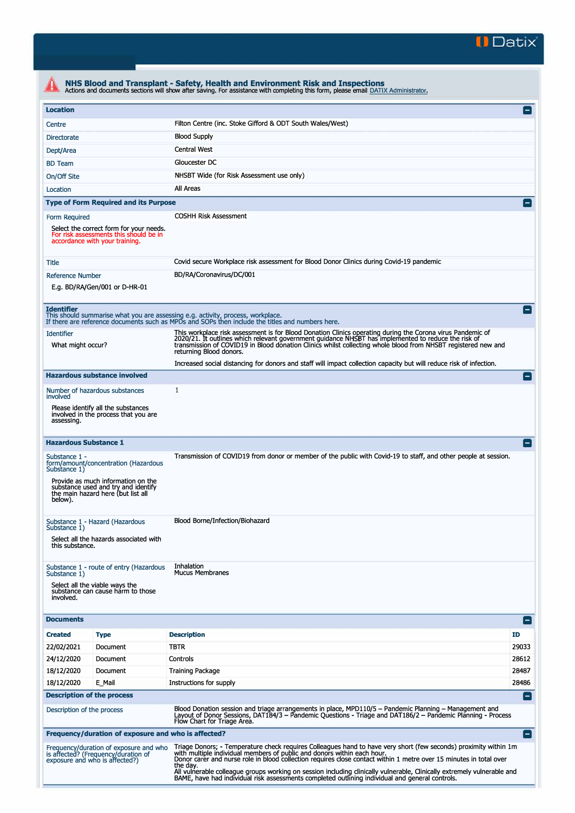

| <b>Location</b>                                                                                                                                                                                     |                                                                                   |                                                                                                                                                                                                                                                                                                                                                                                                                                                          | $\vert$ $\vert$ |  |  |  |
|-----------------------------------------------------------------------------------------------------------------------------------------------------------------------------------------------------|-----------------------------------------------------------------------------------|----------------------------------------------------------------------------------------------------------------------------------------------------------------------------------------------------------------------------------------------------------------------------------------------------------------------------------------------------------------------------------------------------------------------------------------------------------|-----------------|--|--|--|
| Centre                                                                                                                                                                                              |                                                                                   | Filton Centre (inc. Stoke Gifford & ODT South Wales/West)                                                                                                                                                                                                                                                                                                                                                                                                |                 |  |  |  |
| Directorate                                                                                                                                                                                         |                                                                                   | <b>Blood Supply</b>                                                                                                                                                                                                                                                                                                                                                                                                                                      |                 |  |  |  |
| Dept/Area                                                                                                                                                                                           |                                                                                   | <b>Central West</b>                                                                                                                                                                                                                                                                                                                                                                                                                                      |                 |  |  |  |
| <b>BD</b> Team                                                                                                                                                                                      |                                                                                   | Gloucester DC                                                                                                                                                                                                                                                                                                                                                                                                                                            |                 |  |  |  |
| On/Off Site                                                                                                                                                                                         |                                                                                   | NHSBT Wide (for Risk Assessment use only)                                                                                                                                                                                                                                                                                                                                                                                                                |                 |  |  |  |
| Location                                                                                                                                                                                            |                                                                                   | All Areas                                                                                                                                                                                                                                                                                                                                                                                                                                                |                 |  |  |  |
| <b>Type of Form Required and its Purpose</b>                                                                                                                                                        |                                                                                   |                                                                                                                                                                                                                                                                                                                                                                                                                                                          | $=$             |  |  |  |
| Form Required<br>accordance with your training.                                                                                                                                                     | Select the correct form for your needs.<br>For risk assessments this should be in | <b>COSHH Risk Assessment</b>                                                                                                                                                                                                                                                                                                                                                                                                                             |                 |  |  |  |
| Title                                                                                                                                                                                               |                                                                                   | Covid secure Workplace risk assessment for Blood Donor Clinics during Covid-19 pandemic                                                                                                                                                                                                                                                                                                                                                                  |                 |  |  |  |
| <b>Reference Number</b><br>E.g. BD/RA/Gen/001 or D-HR-01                                                                                                                                            |                                                                                   | BD/RA/Coronavirus/DC/001                                                                                                                                                                                                                                                                                                                                                                                                                                 |                 |  |  |  |
| <b>Identifier</b>                                                                                                                                                                                   |                                                                                   | This should summarise what you are assessing e.g. activity, process, workplace.<br>If there are reference documents such as MPDs and SOPs then include the titles and numbers here.                                                                                                                                                                                                                                                                      |                 |  |  |  |
| <b>Identifier</b><br>What might occur?                                                                                                                                                              |                                                                                   | This workplace risk assessment is for Blood Donation Clinics operating during the Corona virus Pandemic of<br>2020/21. It outlines which relevant government guidance NHSBT has implemented to reduce the risk of<br>transmission of COVID19 in Blood donation Clinics whilst collecting whole blood from NHSBT registered new and<br>returning Blood donors.                                                                                            |                 |  |  |  |
|                                                                                                                                                                                                     |                                                                                   | Increased social distancing for donors and staff will impact collection capacity but will reduce risk of infection.                                                                                                                                                                                                                                                                                                                                      |                 |  |  |  |
| <b>Hazardous substance involved</b>                                                                                                                                                                 |                                                                                   |                                                                                                                                                                                                                                                                                                                                                                                                                                                          |                 |  |  |  |
| Number of hazardous substances<br>involved                                                                                                                                                          |                                                                                   | 1                                                                                                                                                                                                                                                                                                                                                                                                                                                        |                 |  |  |  |
| Please identify all the substances<br>involved in the process that you are<br>assessing.                                                                                                            |                                                                                   |                                                                                                                                                                                                                                                                                                                                                                                                                                                          |                 |  |  |  |
| <b>Hazardous Substance 1</b>                                                                                                                                                                        |                                                                                   |                                                                                                                                                                                                                                                                                                                                                                                                                                                          |                 |  |  |  |
| Substance 1 -<br>form/amount/concentration (Hazardous<br>Substance 1)<br>Provide as much information on the<br>substance used and try and identify<br>the main hazard here (but list all<br>below). |                                                                                   | Transmission of COVID19 from donor or member of the public with Covid-19 to staff, and other people at session.                                                                                                                                                                                                                                                                                                                                          |                 |  |  |  |
| Substance 1 - Hazard (Hazardous<br>Substance 1)<br>this substance.                                                                                                                                  | Select all the hazards associated with                                            | Blood Borne/Infection/Biohazard                                                                                                                                                                                                                                                                                                                                                                                                                          |                 |  |  |  |
| Substance 1 - route of entry (Hazardous<br>Substance 1)<br>Select all the viable ways the<br>substance can cause harm to those<br>involved.                                                         |                                                                                   | Inhalation<br><b>Mucus Membranes</b>                                                                                                                                                                                                                                                                                                                                                                                                                     |                 |  |  |  |
| <b>Documents</b>                                                                                                                                                                                    |                                                                                   |                                                                                                                                                                                                                                                                                                                                                                                                                                                          | $\vert - \vert$ |  |  |  |
| <b>Created</b><br><b>Type</b>                                                                                                                                                                       |                                                                                   | <b>Description</b>                                                                                                                                                                                                                                                                                                                                                                                                                                       | ID              |  |  |  |
| 22/02/2021                                                                                                                                                                                          | Document                                                                          | <b>TBTR</b>                                                                                                                                                                                                                                                                                                                                                                                                                                              | 29033           |  |  |  |
| 24/12/2020                                                                                                                                                                                          | Document                                                                          | Controls                                                                                                                                                                                                                                                                                                                                                                                                                                                 | 28612           |  |  |  |
| 18/12/2020                                                                                                                                                                                          | Document                                                                          | <b>Training Package</b>                                                                                                                                                                                                                                                                                                                                                                                                                                  | 28487           |  |  |  |
| 18/12/2020<br>E_Mail                                                                                                                                                                                |                                                                                   | Instructions for supply                                                                                                                                                                                                                                                                                                                                                                                                                                  | 28486           |  |  |  |
| <b>Description of the process</b>                                                                                                                                                                   |                                                                                   |                                                                                                                                                                                                                                                                                                                                                                                                                                                          | н.              |  |  |  |
| Description of the process                                                                                                                                                                          |                                                                                   | Blood Donation session and triage arrangements in place, MPD110/5 - Pandemic Planning - Management and<br>Layout of Donor Sessions, DAT184/3 – Pandemic Questions - Triage and DAT186/2 – Pandemic Planning - Process<br>Flow Chart for Triage Area.                                                                                                                                                                                                     |                 |  |  |  |
| Frequency/duration of exposure and who is affected?                                                                                                                                                 |                                                                                   |                                                                                                                                                                                                                                                                                                                                                                                                                                                          | $\blacksquare$  |  |  |  |
| Frequency/duration of exposure and who<br>is affected? (Frequency/duration of<br>exposure and who is affected?)                                                                                     |                                                                                   | Triage Donors; - Temperature check requires Colleagues hand to have very short (few seconds) proximity within 1m<br>with multiple individual members of public and donors within each hour.<br>Donor carer and nurse role in blood collection requires close contact within 1 metre over 15 minutes in total over<br>the day.<br>All vulnerable colleague groups working on session including clinically vulnerable, Clinically extremely vulnerable and |                 |  |  |  |